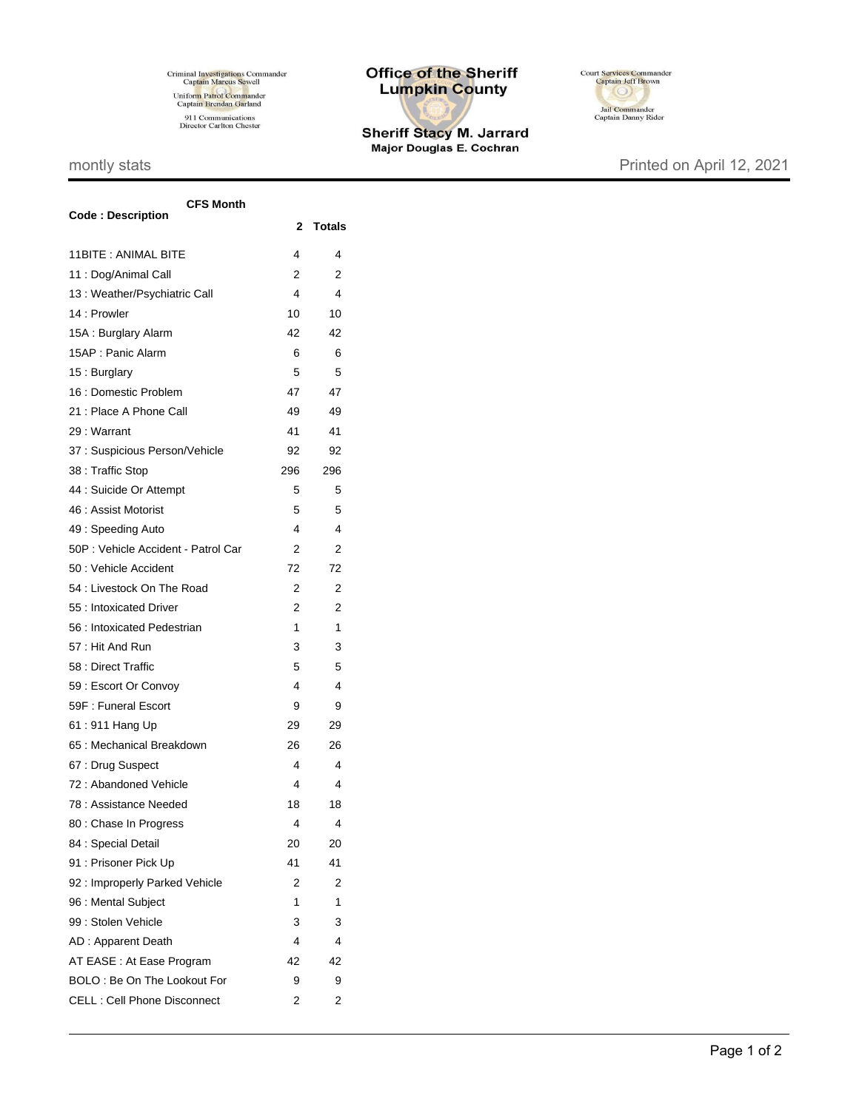Criminal Investigations Commander<br>Captain Marcus Sewell Uniform Patrol Commander<br>Captain Brendan Garland 911 Communications<br>Director Carlton Chester

## **Office of the Sheriff Lumpkin County**

Sheriff Stacy M. Jarrard<br>Major Douglas E. Cochran



## montly stats **Printed on April 12, 2021**

| <b>CFS Month</b>                   |              |               |  |
|------------------------------------|--------------|---------------|--|
| <b>Code: Description</b>           | $\mathbf{2}$ | <b>Totals</b> |  |
| 11BITE : ANIMAL BITE               | 4            | 4             |  |
| 11 : Dog/Animal Call               | 2            | 2             |  |
| 13 : Weather/Psychiatric Call      | 4            | 4             |  |
| 14 : Prowler                       | 10           | 10            |  |
| 15A : Burglary Alarm               | 42           | 42            |  |
| 15AP: Panic Alarm                  | 6            | 6             |  |
| 15: Burglary                       | 5            | 5             |  |
| 16 : Domestic Problem              | 47           | 47            |  |
| 21 : Place A Phone Call            | 49           | 49            |  |
| 29 : Warrant                       | 41           | 41            |  |
| 37 : Suspicious Person/Vehicle     | 92           | 92            |  |
| 38 : Traffic Stop                  | 296          | 296           |  |
| 44 : Suicide Or Attempt            | 5            | 5             |  |
| 46 : Assist Motorist               | 5            | 5             |  |
| 49: Speeding Auto                  | 4            | 4             |  |
| 50P: Vehicle Accident - Patrol Car | 2            | 2             |  |
| 50 : Vehicle Accident              | 72           | 72            |  |
| 54 : Livestock On The Road         | 2            | 2             |  |
| 55 : Intoxicated Driver            | 2            | 2             |  |
| 56 : Intoxicated Pedestrian        | 1            | 1             |  |
| 57: Hit And Run                    | 3            | 3             |  |
| 58 : Direct Traffic                | 5            | 5             |  |
| 59 : Escort Or Convoy              | 4            | 4             |  |
| 59F: Funeral Escort                | 9            | 9             |  |
| 61:911 Hang Up                     | 29           | 29            |  |
| 65 : Mechanical Breakdown          | 26           | 26            |  |
| 67: Drug Suspect                   | 4            | 4             |  |
| 72: Abandoned Vehicle              | 4            | 4             |  |
| 78 : Assistance Needed             | 18           | 18            |  |
| 80 : Chase In Progress             | 4            | 4             |  |
| 84 : Special Detail                | 20           | 20            |  |
| 91 : Prisoner Pick Up              | 41           | 41            |  |
| 92 : Improperly Parked Vehicle     | 2            | 2             |  |
| 96 : Mental Subject                | 1            | 1             |  |
| 99 : Stolen Vehicle                | 3            | 3             |  |
| AD: Apparent Death                 | 4            | 4             |  |
| AT EASE : At Ease Program          | 42           | 42            |  |
| BOLO: Be On The Lookout For        | 9            | 9             |  |
| <b>CELL: Cell Phone Disconnect</b> | 2            | 2             |  |
|                                    |              |               |  |